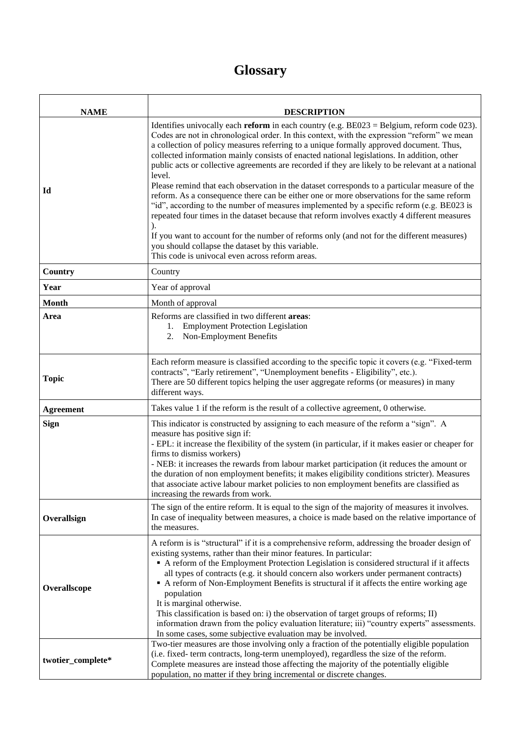## **Glossary**

| <b>NAME</b>       | <b>DESCRIPTION</b>                                                                                                                                                                                                                                                                                                                                                                                                                                                                                                                                                                                                                                                                                                                                                                                                                                                                                                                                                                                                                                                                                           |
|-------------------|--------------------------------------------------------------------------------------------------------------------------------------------------------------------------------------------------------------------------------------------------------------------------------------------------------------------------------------------------------------------------------------------------------------------------------------------------------------------------------------------------------------------------------------------------------------------------------------------------------------------------------------------------------------------------------------------------------------------------------------------------------------------------------------------------------------------------------------------------------------------------------------------------------------------------------------------------------------------------------------------------------------------------------------------------------------------------------------------------------------|
| Id                | Identifies univocally each <b>reform</b> in each country (e.g. $BE023 = Belgium$ , reform code 023).<br>Codes are not in chronological order. In this context, with the expression "reform" we mean<br>a collection of policy measures referring to a unique formally approved document. Thus,<br>collected information mainly consists of enacted national legislations. In addition, other<br>public acts or collective agreements are recorded if they are likely to be relevant at a national<br>level.<br>Please remind that each observation in the dataset corresponds to a particular measure of the<br>reform. As a consequence there can be either one or more observations for the same reform<br>"id", according to the number of measures implemented by a specific reform (e.g. BE023 is<br>repeated four times in the dataset because that reform involves exactly 4 different measures<br>If you want to account for the number of reforms only (and not for the different measures)<br>you should collapse the dataset by this variable.<br>This code is univocal even across reform areas. |
| Country           | Country                                                                                                                                                                                                                                                                                                                                                                                                                                                                                                                                                                                                                                                                                                                                                                                                                                                                                                                                                                                                                                                                                                      |
| Year              | Year of approval                                                                                                                                                                                                                                                                                                                                                                                                                                                                                                                                                                                                                                                                                                                                                                                                                                                                                                                                                                                                                                                                                             |
| <b>Month</b>      | Month of approval                                                                                                                                                                                                                                                                                                                                                                                                                                                                                                                                                                                                                                                                                                                                                                                                                                                                                                                                                                                                                                                                                            |
| Area              | Reforms are classified in two different areas:<br><b>Employment Protection Legislation</b><br>1.<br>Non-Employment Benefits<br>2.                                                                                                                                                                                                                                                                                                                                                                                                                                                                                                                                                                                                                                                                                                                                                                                                                                                                                                                                                                            |
| <b>Topic</b>      | Each reform measure is classified according to the specific topic it covers (e.g. "Fixed-term<br>contracts", "Early retirement", "Unemployment benefits - Eligibility", etc.).<br>There are 50 different topics helping the user aggregate reforms (or measures) in many<br>different ways.                                                                                                                                                                                                                                                                                                                                                                                                                                                                                                                                                                                                                                                                                                                                                                                                                  |
| <b>Agreement</b>  | Takes value 1 if the reform is the result of a collective agreement, 0 otherwise.                                                                                                                                                                                                                                                                                                                                                                                                                                                                                                                                                                                                                                                                                                                                                                                                                                                                                                                                                                                                                            |
| <b>Sign</b>       | This indicator is constructed by assigning to each measure of the reform a "sign". A<br>measure has positive sign if:<br>- EPL: it increase the flexibility of the system (in particular, if it makes easier or cheaper for<br>firms to dismiss workers)<br>- NEB: it increases the rewards from labour market participation (it reduces the amount or<br>the duration of non employment benefits; it makes eligibility conditions stricter). Measures<br>that associate active labour market policies to non employment benefits are classified as<br>increasing the rewards from work.                                                                                                                                                                                                                                                                                                                                                                                                                                                                                                                     |
| Overallsign       | The sign of the entire reform. It is equal to the sign of the majority of measures it involves.<br>In case of inequality between measures, a choice is made based on the relative importance of<br>the measures.                                                                                                                                                                                                                                                                                                                                                                                                                                                                                                                                                                                                                                                                                                                                                                                                                                                                                             |
| Overallscope      | A reform is is "structural" if it is a comprehensive reform, addressing the broader design of<br>existing systems, rather than their minor features. In particular:<br>A reform of the Employment Protection Legislation is considered structural if it affects<br>all types of contracts (e.g. it should concern also workers under permanent contracts)<br>• A reform of Non-Employment Benefits is structural if it affects the entire working age<br>population<br>It is marginal otherwise.<br>This classification is based on: i) the observation of target groups of reforms; II)<br>information drawn from the policy evaluation literature; iii) "country experts" assessments.<br>In some cases, some subjective evaluation may be involved.                                                                                                                                                                                                                                                                                                                                                       |
| twotier_complete* | Two-tier measures are those involving only a fraction of the potentially eligible population<br>(i.e. fixed-term contracts, long-term unemployed), regardless the size of the reform.<br>Complete measures are instead those affecting the majority of the potentially eligible<br>population, no matter if they bring incremental or discrete changes.                                                                                                                                                                                                                                                                                                                                                                                                                                                                                                                                                                                                                                                                                                                                                      |